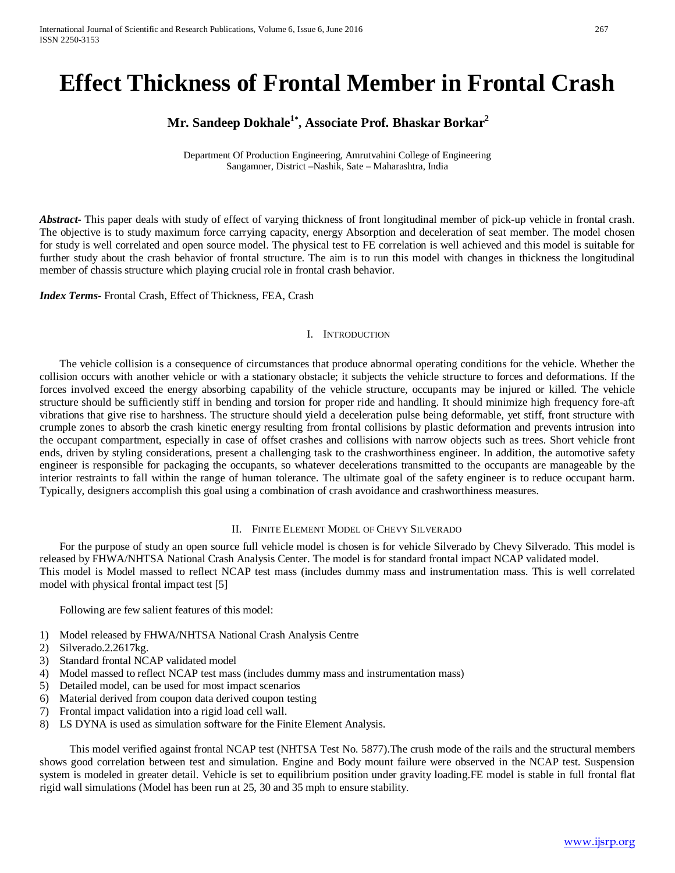# **Effect Thickness of Frontal Member in Frontal Crash**

# **Mr. Sandeep Dokhale1\* , Associate Prof. Bhaskar Borkar2**

Department Of Production Engineering, Amrutvahini College of Engineering Sangamner, District –Nashik, Sate – Maharashtra, India

*Abstract***-** This paper deals with study of effect of varying thickness of front longitudinal member of pick-up vehicle in frontal crash. The objective is to study maximum force carrying capacity, energy Absorption and deceleration of seat member. The model chosen for study is well correlated and open source model. The physical test to FE correlation is well achieved and this model is suitable for further study about the crash behavior of frontal structure. The aim is to run this model with changes in thickness the longitudinal member of chassis structure which playing crucial role in frontal crash behavior.

*Index Terms*- Frontal Crash, Effect of Thickness, FEA, Crash

#### I. INTRODUCTION

The vehicle collision is a consequence of circumstances that produce abnormal operating conditions for the vehicle. Whether the collision occurs with another vehicle or with a stationary obstacle; it subjects the vehicle structure to forces and deformations. If the forces involved exceed the energy absorbing capability of the vehicle structure, occupants may be injured or killed. The vehicle structure should be sufficiently stiff in bending and torsion for proper ride and handling. It should minimize high frequency fore-aft vibrations that give rise to harshness. The structure should yield a deceleration pulse being deformable, yet stiff, front structure with crumple zones to absorb the crash kinetic energy resulting from frontal collisions by plastic deformation and prevents intrusion into the occupant compartment, especially in case of offset crashes and collisions with narrow objects such as trees. Short vehicle front ends, driven by styling considerations, present a challenging task to the crashworthiness engineer. In addition, the automotive safety engineer is responsible for packaging the occupants, so whatever decelerations transmitted to the occupants are manageable by the interior restraints to fall within the range of human tolerance. The ultimate goal of the safety engineer is to reduce occupant harm. Typically, designers accomplish this goal using a combination of crash avoidance and crashworthiness measures.

#### II. FINITE ELEMENT MODEL OF CHEVY SILVERADO

For the purpose of study an open source full vehicle model is chosen is for vehicle Silverado by Chevy Silverado. This model is released by FHWA/NHTSA National Crash Analysis Center. The model is for standard frontal impact NCAP validated model. This model is Model massed to reflect NCAP test mass (includes dummy mass and instrumentation mass. This is well correlated model with physical frontal impact test [5]

Following are few salient features of this model:

- 1) Model released by FHWA/NHTSA National Crash Analysis Centre
- 2) Silverado.2.2617kg.
- 3) Standard frontal NCAP validated model
- 4) Model massed to reflect NCAP test mass (includes dummy mass and instrumentation mass)
- 5) Detailed model, can be used for most impact scenarios
- 6) Material derived from coupon data derived coupon testing
- 7) Frontal impact validation into a rigid load cell wall.
- 8) LS DYNA is used as simulation software for the Finite Element Analysis.

This model verified against frontal NCAP test (NHTSA Test No. 5877).The crush mode of the rails and the structural members shows good correlation between test and simulation. Engine and Body mount failure were observed in the NCAP test. Suspension system is modeled in greater detail. Vehicle is set to equilibrium position under gravity loading.FE model is stable in full frontal flat rigid wall simulations (Model has been run at 25, 30 and 35 mph to ensure stability.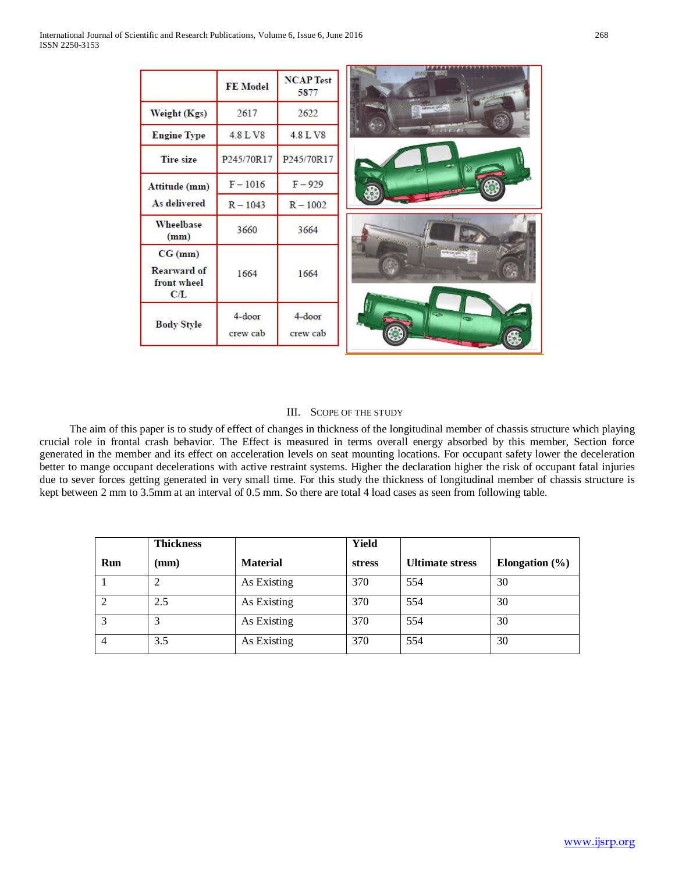|                                                     | FE Model              | <b>NCAP</b> Test<br>5877 |
|-----------------------------------------------------|-----------------------|--------------------------|
| Weight (Kgs)                                        | 2617                  | 2622                     |
| <b>Engine Type</b>                                  | 4.8 L V8              | 4.8 L V8                 |
| <b>Tire size</b>                                    | P245/70R17            | P245/70R17               |
| Attitude (mm)<br>As delivered                       | $F - 1016$            | $F - 929$                |
|                                                     | $R - 1043$            | $R - 1002$               |
| Wheelbase<br>(mm)                                   | 3660                  | 3664                     |
| CG (mm)<br><b>Rearward of</b><br>front wheel<br>C/L | 1664                  | 1664                     |
| <b>Body Style</b>                                   | $4$ -door<br>crew cab | $4$ -door<br>crew cab    |

## III. SCOPE OF THE STUDY

The aim of this paper is to study of effect of changes in thickness of the longitudinal member of chassis structure which playing crucial role in frontal crash behavior. The Effect is measured in terms overall energy absorbed by this member, Section force generated in the member and its effect on acceleration levels on seat mounting locations. For occupant safety lower the deceleration better to mange occupant decelerations with active restraint systems. Higher the declaration higher the risk of occupant fatal injuries due to sever forces getting generated in very small time. For this study the thickness of longitudinal member of chassis structure is kept between 2 mm to 3.5mm at an interval of 0.5 mm. So there are total 4 load cases as seen from following table.

|              | <b>Thickness</b> |                 | Yield         |                        |                    |
|--------------|------------------|-----------------|---------------|------------------------|--------------------|
| Run          | (mm)             | <b>Material</b> | <b>stress</b> | <b>Ultimate stress</b> | Elongation $(\% )$ |
|              |                  | As Existing     | 370           | 554                    | 30                 |
|              | 2.5              | As Existing     | 370           | 554                    | 30                 |
| $\mathbf{c}$ |                  | As Existing     | 370           | 554                    | 30                 |
|              | 3.5              | As Existing     | 370           | 554                    | 30                 |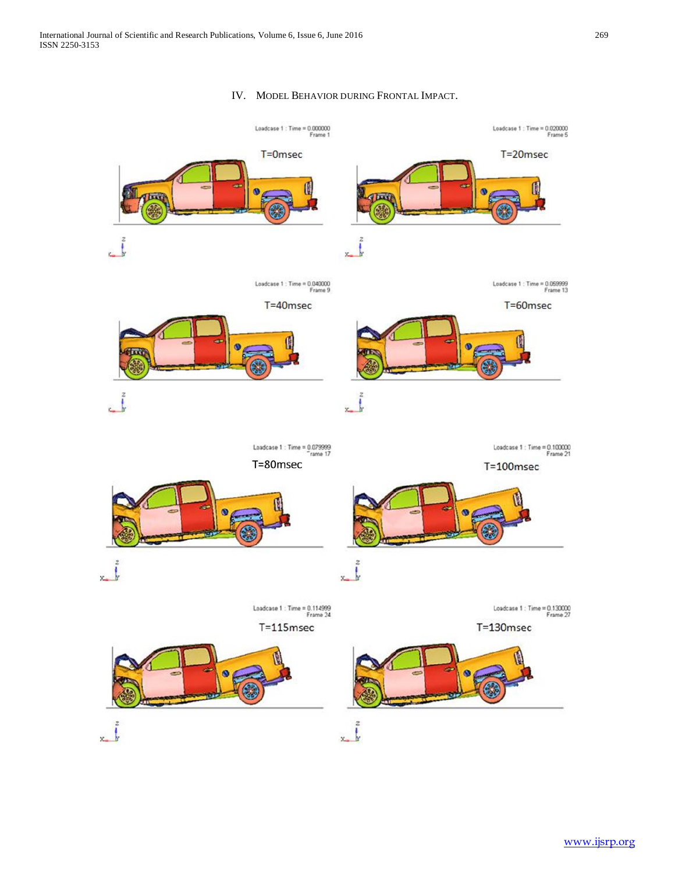### IV. MODEL BEHAVIOR DURING FRONTAL IMPACT.

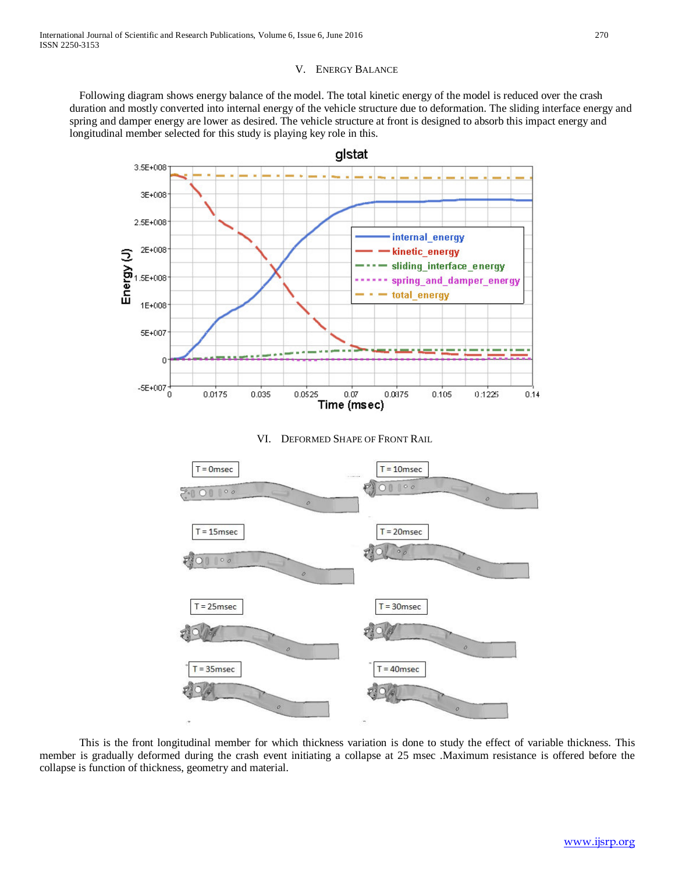#### V. ENERGY BALANCE

Following diagram shows energy balance of the model. The total kinetic energy of the model is reduced over the crash duration and mostly converted into internal energy of the vehicle structure due to deformation. The sliding interface energy and spring and damper energy are lower as desired. The vehicle structure at front is designed to absorb this impact energy and longitudinal member selected for this study is playing key role in this.



#### VI. DEFORMED SHAPE OF FRONT RAIL



This is the front longitudinal member for which thickness variation is done to study the effect of variable thickness. This member is gradually deformed during the crash event initiating a collapse at 25 msec .Maximum resistance is offered before the collapse is function of thickness, geometry and material.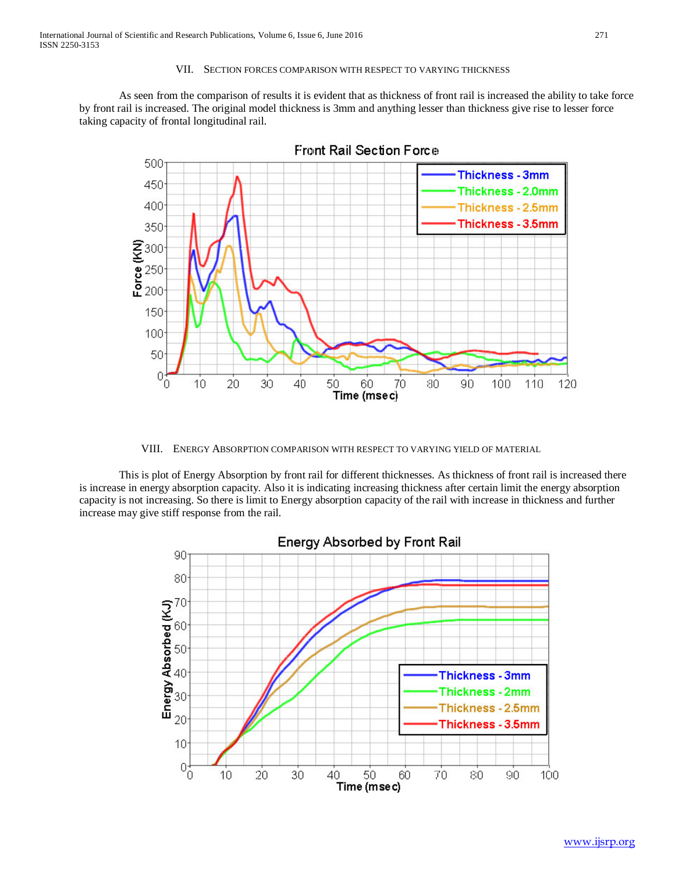#### VII. SECTION FORCES COMPARISON WITH RESPECT TO VARYING THICKNESS

As seen from the comparison of results it is evident that as thickness of front rail is increased the ability to take force by front rail is increased. The original model thickness is 3mm and anything lesser than thickness give rise to lesser force taking capacity of frontal longitudinal rail.



VIII. ENERGY ABSORPTION COMPARISON WITH RESPECT TO VARYING YIELD OF MATERIAL

This is plot of Energy Absorption by front rail for different thicknesses. As thickness of front rail is increased there is increase in energy absorption capacity. Also it is indicating increasing thickness after certain limit the energy absorption capacity is not increasing. So there is limit to Energy absorption capacity of the rail with increase in thickness and further increase may give stiff response from the rail.

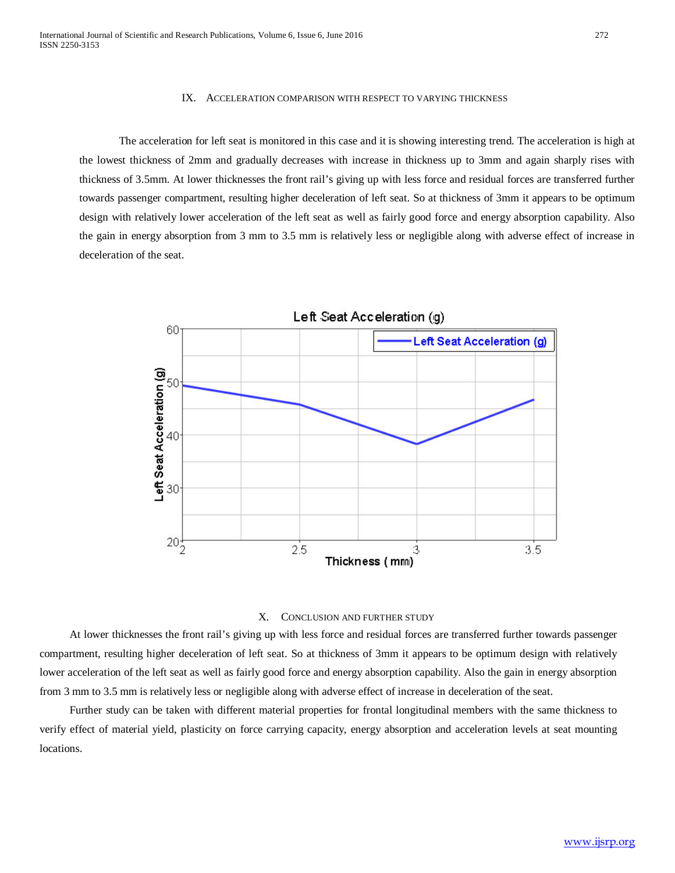#### IX. ACCELERATION COMPARISON WITH RESPECT TO VARYING THICKNESS

The acceleration for left seat is monitored in this case and it is showing interesting trend. The acceleration is high at the lowest thickness of 2mm and gradually decreases with increase in thickness up to 3mm and again sharply rises with thickness of 3.5mm. At lower thicknesses the front rail's giving up with less force and residual forces are transferred further towards passenger compartment, resulting higher deceleration of left seat. So at thickness of 3mm it appears to be optimum design with relatively lower acceleration of the left seat as well as fairly good force and energy absorption capability. Also the gain in energy absorption from 3 mm to 3.5 mm is relatively less or negligible along with adverse effect of increase in deceleration of the seat.





At lower thicknesses the front rail's giving up with less force and residual forces are transferred further towards passenger compartment, resulting higher deceleration of left seat. So at thickness of 3mm it appears to be optimum design with relatively lower acceleration of the left seat as well as fairly good force and energy absorption capability. Also the gain in energy absorption from 3 mm to 3.5 mm is relatively less or negligible along with adverse effect of increase in deceleration of the seat.

Further study can be taken with different material properties for frontal longitudinal members with the same thickness to verify effect of material yield, plasticity on force carrying capacity, energy absorption and acceleration levels at seat mounting locations.